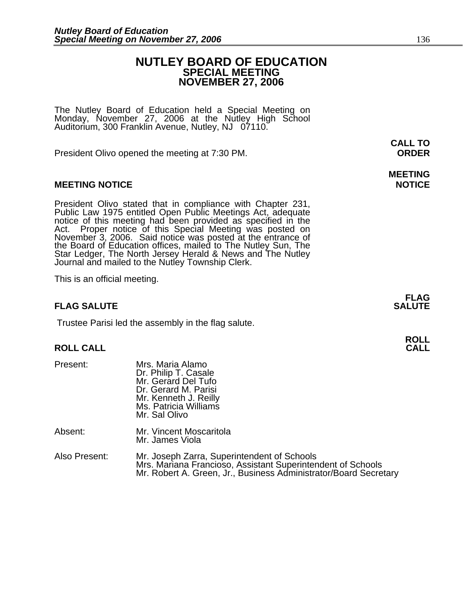## **NUTLEY BOARD OF EDUCATION SPECIAL MEETING NOVEMBER 27, 2006**

**MEETING** 

The Nutley Board of Education held a Special Meeting on Monday, November 27, 2006 at the Nutley High School Auditorium, 300 Franklin Avenue, Nutley, NJ 07110.

 **CALL TO**  President Olivo opened the meeting at 7:30 PM. **ORDER**

### **MEETING NOTICE NOTICE REPORTS AND ALCOHOL**

President Olivo stated that in compliance with Chapter 231,<br>Public Law 1975 entitled Open Public Meetings Act, adequate<br>notice of this meeting had been provided as specified in the<br>Act. Proper notice of this Special Meetin

This is an official meeting.

### **FLAG SALUTE** SALUTE SALUTE SALUTE SALUTE SALUTE SALUTE SALUTE SALUTE SALUTE SALUTE SALUTE SALUTE SALUTE SALUTE SALUTE

Trustee Parisi led the assembly in the flag salute.

# **ROLL ROLL CALL CALL**

| Present:      | Mrs. Maria Alamo<br>Dr. Philip T. Casale<br>Mr. Gerard Del Tufo<br>Dr. Gerard M. Parisi<br>Mr. Kenneth J. Reilly<br>Ms. Patricia Williams<br>Mr. Sal Olivo |
|---------------|------------------------------------------------------------------------------------------------------------------------------------------------------------|
| Absent:       | Mr. Vincent Moscaritola<br>Mr. James Viola                                                                                                                 |
| Also Present: | Mr. Joseph Zarra, Superintendent of Schools<br>Mrs. Mariana Francioso, Assistant Superintendent of S                                                       |

Mrs. Mariana Francioso, Assistant Superintendent of Schools<br>Mr. Robert A. Green, Jr., Business Administrator/Board Secretary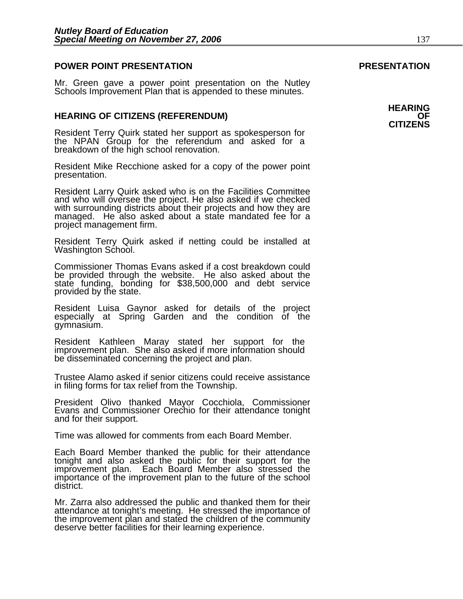#### **POWER POINT PRESENTATION PRESENTATION**

Mr. Green gave a power point presentation on the Nutley Schools Improvement Plan that is appended to these minutes.

**HEARING OF CITIZENS (REFERENDUM)**<br>**CITIZENS**<br>Resident Terry Quirk stated her support as spokesperson for the NPAN Group for the referendum and asked for a breakdown of the high school renovation.

Resident Mike Recchione asked for a copy of the power point presentation.

Resident Larry Quirk asked who is on the Facilities Committee and who will oversee the project. He also asked if we checked with surrounding districts about their projects and how they are managed. He also asked about a state mandated fee for a project management firm.

Resident Terry Quirk asked if netting could be installed at Washington School.

Commissioner Thomas Evans asked if a cost breakdown could be provided through the website. He also asked about the state funding, bonding for \$38,500,000 and debt service provided by the state.

Resident Luisa Gaynor asked for details of the project especially at Spring Garden and the condition of the gymnasium.

Resident Kathleen Maray stated her support for the improvement plan. She also asked if more information should be disseminated concerning the project and plan.

Trustee Alamo asked if senior citizens could receive assistance in filing forms for tax relief from the Township.

President Olivo thanked Mayor Cocchiola, Commissioner Evans and Commissioner Orechio for their attendance tonight and for their support.

Time was allowed for comments from each Board Member.

Each Board Member thanked the public for their attendance<br>tonight and also asked the public for their support for the<br>improvement plan. Each Board Member also stressed the importance of the improvement plan to the future of the school district.

Mr. Zarra also addressed the public and thanked them for their attendance at tonight's meeting. He stressed the importance of the improvement plan and stated the children of the community deserve better facilities for their learning experience.

**HEARING**